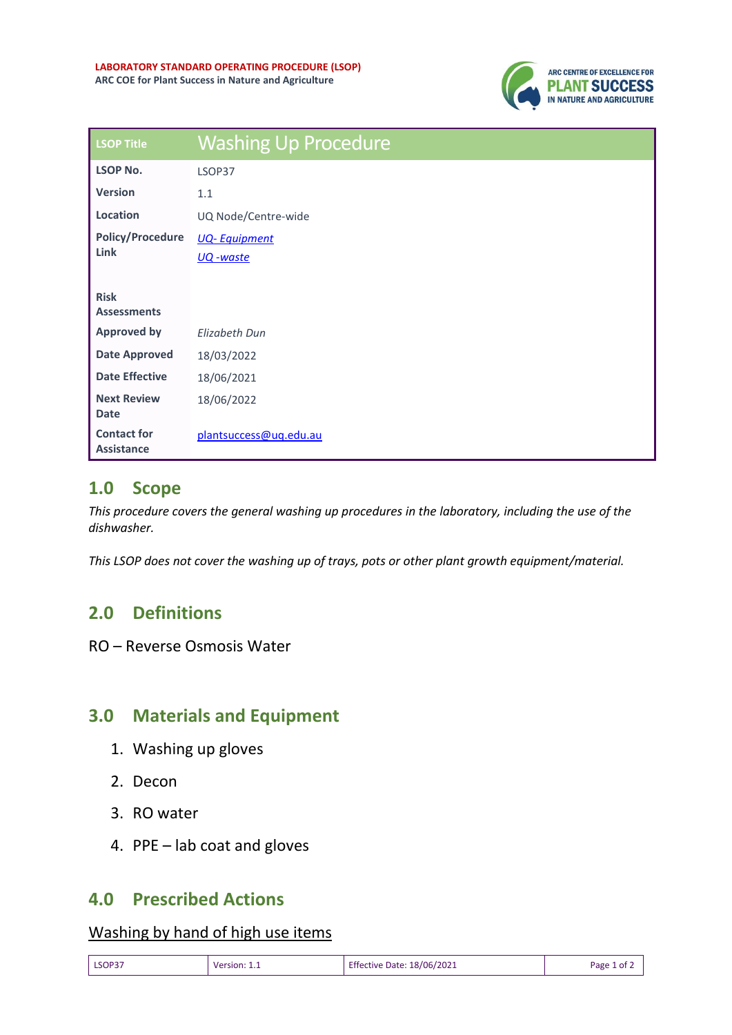

| <b>LSOP Title</b>                       | <b>Washing Up Procedure</b>      |
|-----------------------------------------|----------------------------------|
| <b>LSOP No.</b>                         | LSOP37                           |
| <b>Version</b>                          | 1.1                              |
| Location                                | UQ Node/Centre-wide              |
| <b>Policy/Procedure</b><br>Link         | <b>UQ-Equipment</b><br>UQ -waste |
| <b>Risk</b><br><b>Assessments</b>       |                                  |
| <b>Approved by</b>                      | <b>Elizabeth Dun</b>             |
| <b>Date Approved</b>                    | 18/03/2022                       |
| <b>Date Effective</b>                   | 18/06/2021                       |
| <b>Next Review</b><br><b>Date</b>       | 18/06/2022                       |
| <b>Contact for</b><br><b>Assistance</b> | plantsuccess@uq.edu.au           |

### **1.0 Scope**

*This procedure covers the general washing up procedures in the laboratory, including the use of the dishwasher.* 

*This LSOP does not cover the washing up of trays, pots or other plant growth equipment/material.*

# **2.0 Definitions**

RO – Reverse Osmosis Water

## **3.0 Materials and Equipment**

- 1. Washing up gloves
- 2. Decon
- 3. RO water
- 4. PPE lab coat and gloves

### **4.0 Prescribed Actions**

#### Washing by hand of high use items

| LSOP37 | Version: 1.1 | <b>Effective Date: 18/06/2021</b> | Page 1 of $\sim$ |
|--------|--------------|-----------------------------------|------------------|
|--------|--------------|-----------------------------------|------------------|